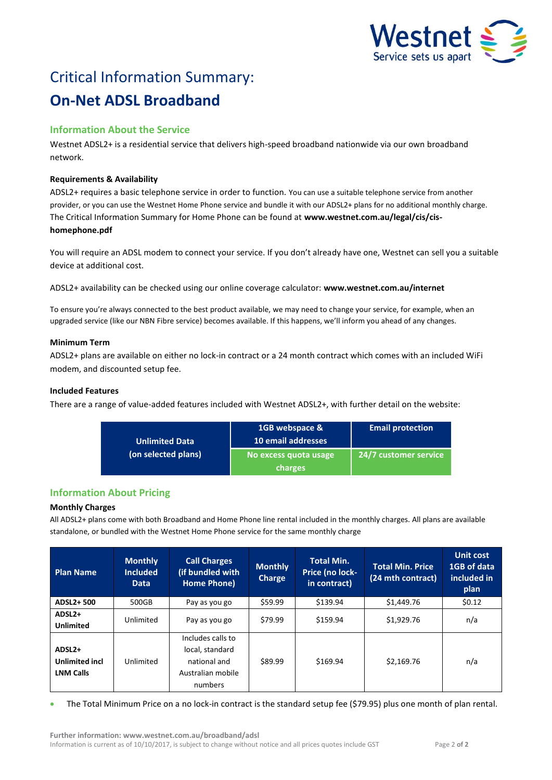

# Critical Information Summary: **On-Net ADSL Broadband**

# **Information About the Service**

Westnet ADSL2+ is a residential service that delivers high-speed broadband nationwide via our own broadband network.

# **Requirements & Availability**

ADSL2+ requires a basic telephone service in order to function. You can use a suitable telephone service from another provider, or you can use the Westnet Home Phone service and bundle it with our ADSL2+ plans for no additional monthly charge. The Critical Information Summary for Home Phone can be found at **www.westnet.com.au/legal/cis/cishomephone.pdf**

You will require an ADSL modem to connect your service. If you don't already have one, Westnet can sell you a suitable device at additional cost.

ADSL2+ availability can be checked using our online coverage calculator: **www.westnet.com.au/internet**

To ensure you're always connected to the best product available, we may need to change your service, for example, when an upgraded service (like our NBN Fibre service) becomes available. If this happens, we'll inform you ahead of any changes.

## **Minimum Term**

ADSL2+ plans are available on either no lock-in contract or a 24 month contract which comes with an included WiFi modem, and discounted setup fee.

# **Included Features**

There are a range of value-added features included with Westnet ADSL2+, with further detail on the website:

| <b>Unlimited Data</b><br>(on selected plans) | 1GB webspace &<br>10 email addresses | <b>Email protection</b> |  |
|----------------------------------------------|--------------------------------------|-------------------------|--|
|                                              | No excess quota usage                | 24/7 customer service   |  |
|                                              | charges                              |                         |  |

# **Information About Pricing**

## **Monthly Charges**

All ADSL2+ plans come with both Broadband and Home Phone line rental included in the monthly charges. All plans are available standalone, or bundled with the Westnet Home Phone service for the same monthly charge

| <b>Plan Name</b>                                                | <b>Monthly</b><br><b>Included</b><br><b>Data</b> | <b>Call Charges</b><br>(if bundled with<br>Home Phone)                               | <b>Monthly</b><br><b>Charge</b> | <b>Total Min.</b><br>Price (no lock-<br>in contract) | <b>Total Min. Price</b><br>(24 mth contract) | <b>Unit cost</b><br>1GB of data<br>included in<br>plan |
|-----------------------------------------------------------------|--------------------------------------------------|--------------------------------------------------------------------------------------|---------------------------------|------------------------------------------------------|----------------------------------------------|--------------------------------------------------------|
| ADSL2+500                                                       | 500GB                                            | Pay as you go                                                                        | \$59.99                         | \$139.94                                             | \$1,449.76                                   | \$0.12                                                 |
| ADSL2+<br><b>Unlimited</b>                                      | Unlimited                                        | Pay as you go                                                                        | \$79.99                         | \$159.94                                             | \$1,929.76                                   | n/a                                                    |
| ADSL <sub>2+</sub><br><b>Unlimited incl</b><br><b>LNM Calls</b> | Unlimited                                        | Includes calls to<br>local, standard<br>national and<br>Australian mobile<br>numbers | \$89.99                         | \$169.94                                             | \$2,169.76                                   | n/a                                                    |

The Total Minimum Price on a no lock-in contract is the standard setup fee (\$79.95) plus one month of plan rental.